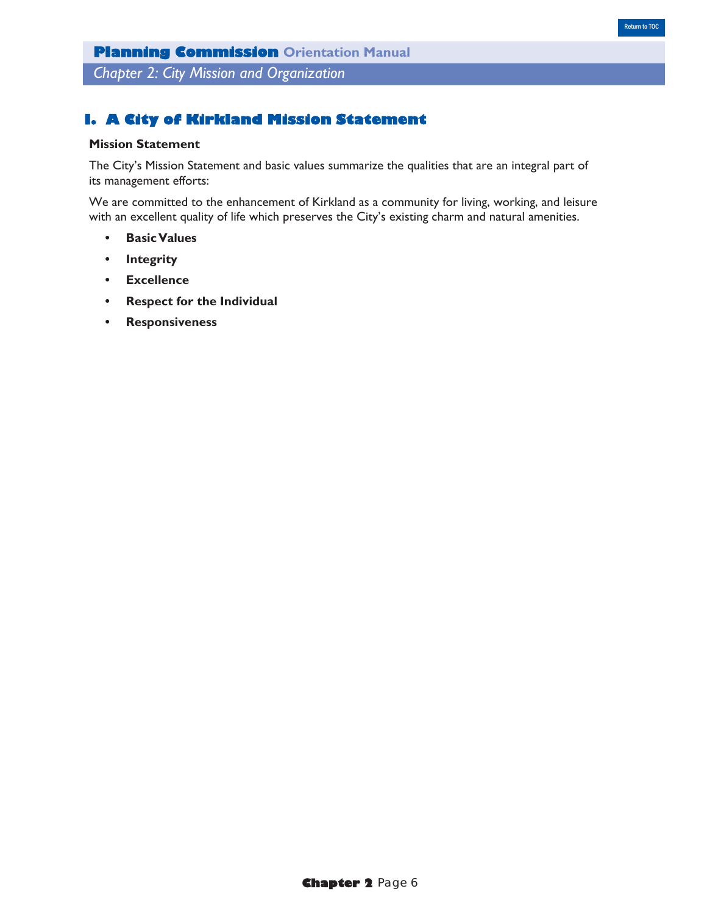*Chapter 2: City Mission and Organization*

## **I. A City of Kirkland Mission Statement**

### **Mission Statement**

The City's Mission Statement and basic values summarize the qualities that are an integral part of its management efforts:

We are committed to the enhancement of Kirkland as a community for living, working, and leisure with an excellent quality of life which preserves the City's existing charm and natural amenities.

- **• Basic Values**
- **• Integrity**
- **• Excellence**
- **• Respect for the Individual**
- **• Responsiveness**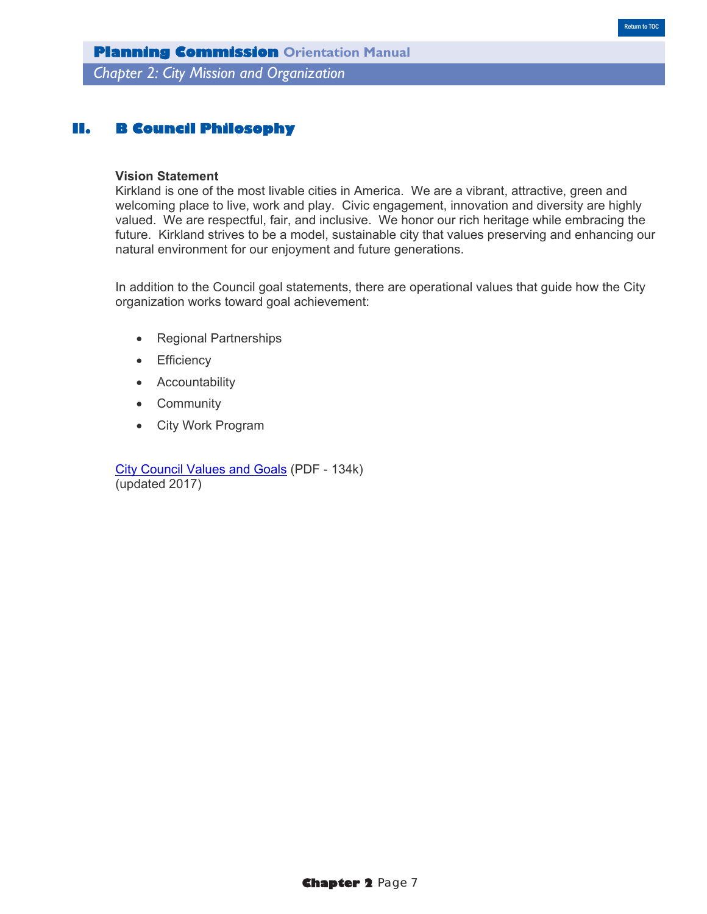**Planning Commission Orientation Manual** *Chapter 2: City Mission and Organization*

### **II. B Council Philosophy**

#### **Vision Statement**

Kirkland is one of the most livable cities in America. We are a vibrant, attractive, green and welcoming place to live, work and play. Civic engagement, innovation and diversity are highly valued. We are respectful, fair, and inclusive. We honor our rich heritage while embracing the future. Kirkland strives to be a model, sustainable city that values preserving and enhancing our natural environment for our enjoyment and future generations.

In addition to the Council goal statements, there are operational values that guide how the City organization works toward goal achievement:

- Regional Partnerships
- Efficiency
- Accountability
- Community
- City Work Program

City Council Values and Goals (PDF - 134k) (updated 2017)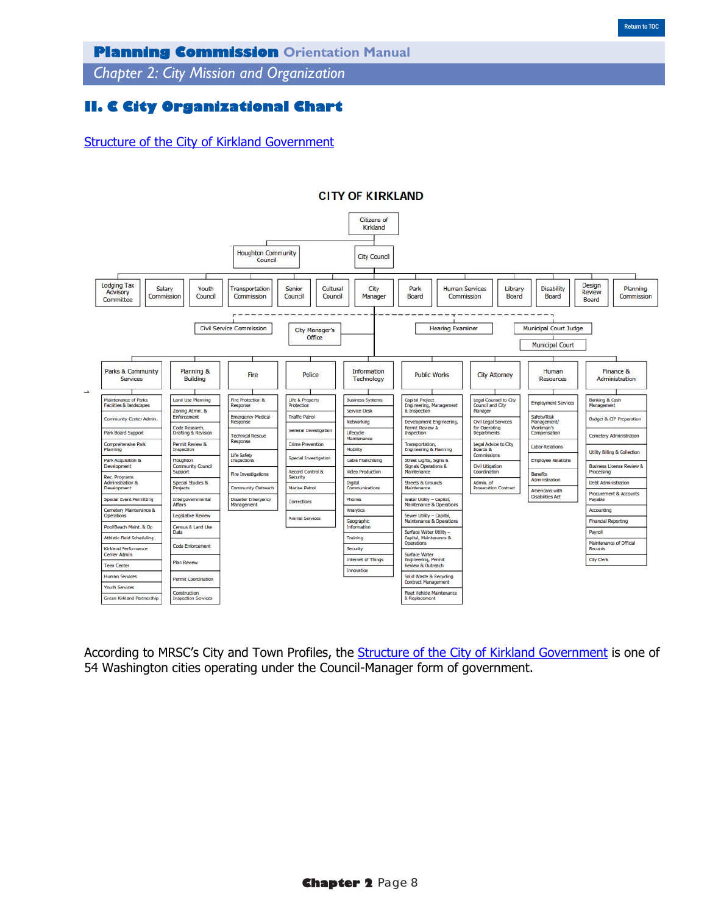*Chapter 2: City Mission and Organization*

## **II. C City Organizational Chart**

Structure of the City of Kirkland Government



#### **CITY OF KIRKLAND**

According to MRSC's City and Town Profiles, the **Structure of the City of Kirkland Government** is one of 54 Washington cities operating under the Council-Manager form of government.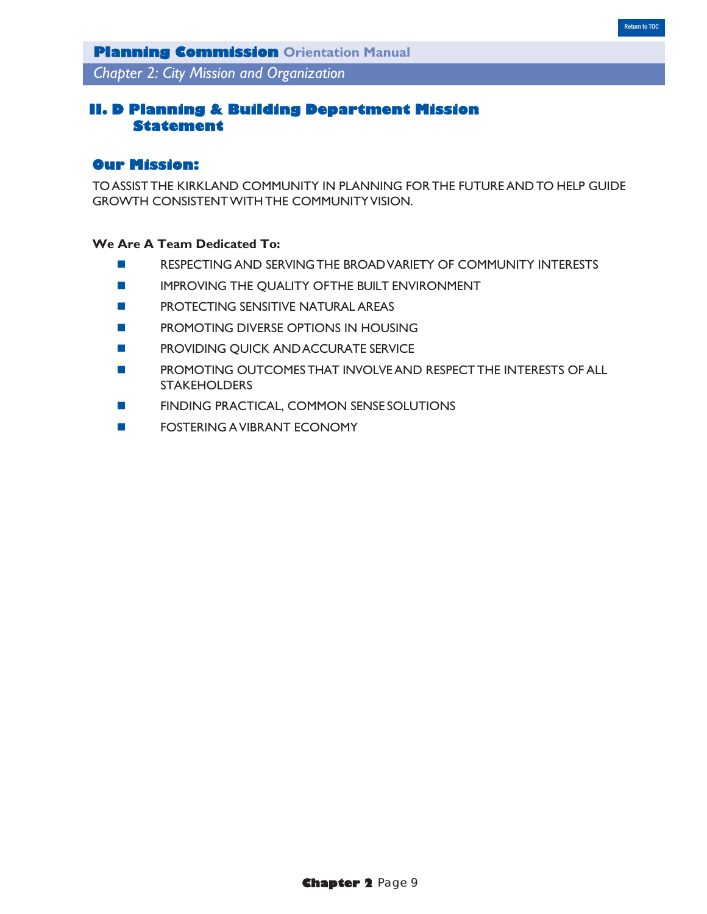*Chapter 2: City Mission and Organization*

# **II. D Planning & Building Department Mission Statement**

### **Our Mission:**

TO ASSIST THE KIRKLAND COMMUNITY IN PLANNING FOR THE FUTURE AND TO HELP GUIDE GROWTH CONSISTENT WITH THE COMMUNITY VISION.

### **We Are A Team Dedicated To:**

- **RESPECTING AND SERVING THE BROAD VARIETY OF COMMUNITY INTERESTS**
- **IMPROVING THE QUALITY OF THE BUILT ENVIRONMENT**
- **Example 25 PROTECTING SENSITIVE NATURAL AREAS**
- **PROMOTING DIVERSE OPTIONS IN HOUSING**
- **EXECUTE PROVIDING QUICK AND ACCURATE SERVICE**
- PROMOTING OUTCOMES THAT INVOLVE AND RESPECT THE INTERESTS OF ALL **STAKEHOLDERS**
- **FINDING PRACTICAL, COMMON SENSE SOLUTIONS**
- **FOSTERING A VIBRANT ECONOMY**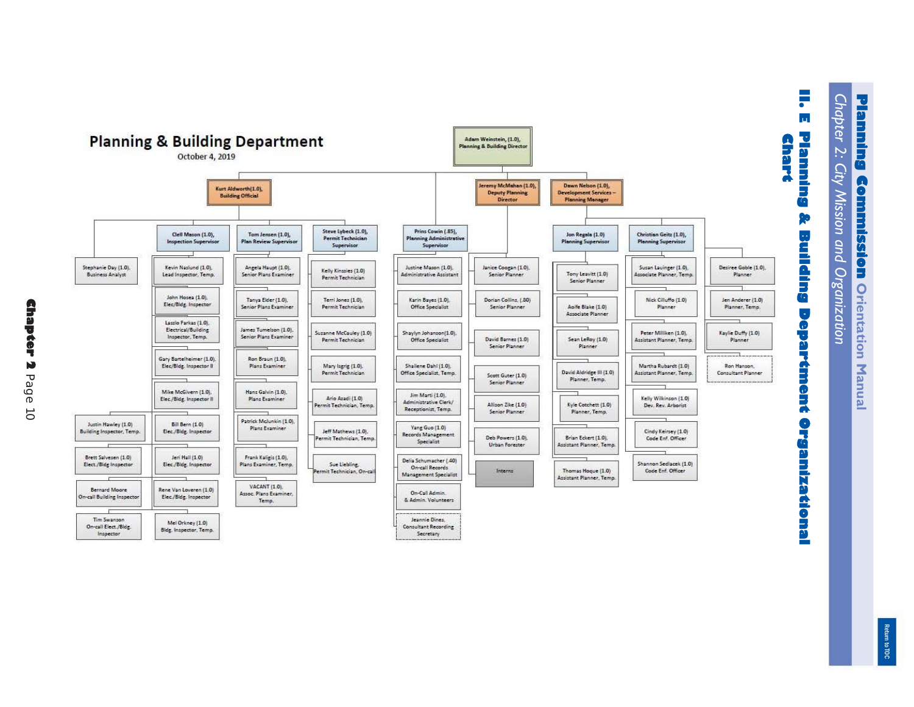

Return to TOC Return to TOC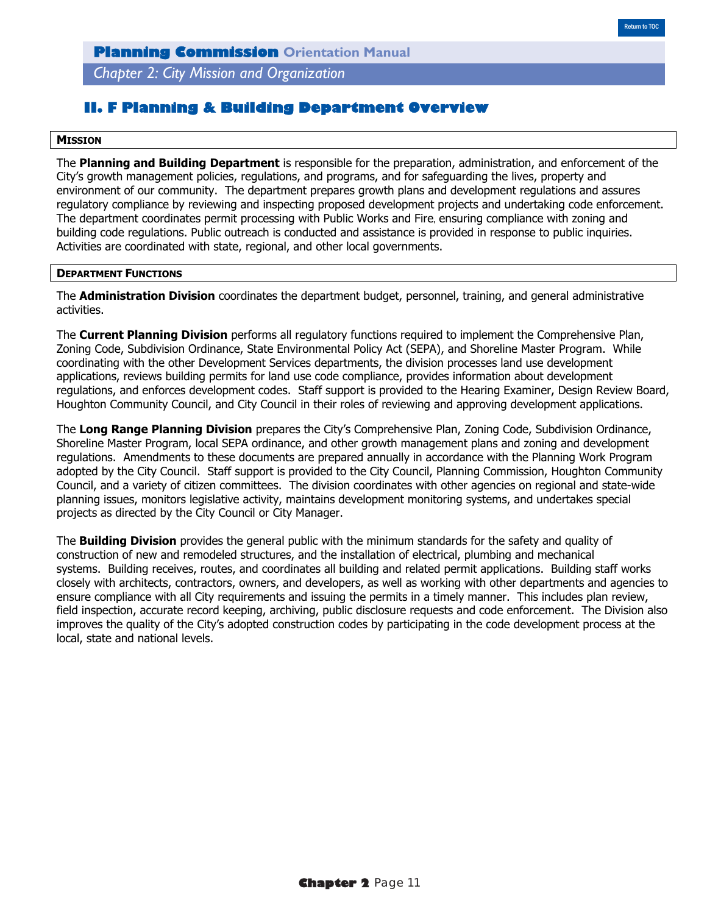*Chapter 2: City Mission and Organization*

### **II. F Planning & Building Department Overview**

#### **MISSION**

The **Planning and Building Department** is responsible for the preparation, administration, and enforcement of the City's growth management policies, regulations, and programs, and for safeguarding the lives, property and environment of our community. The department prepares growth plans and development regulations and assures regulatory compliance by reviewing and inspecting proposed development projects and undertaking code enforcement. The department coordinates permit processing with Public Works and Fire, ensuring compliance with zoning and building code regulations. Public outreach is conducted and assistance is provided in response to public inquiries. Activities are coordinated with state, regional, and other local governments.

#### **DEPARTMENT FUNCTIONS**

The **Administration Division** coordinates the department budget, personnel, training, and general administrative activities.

The **Current Planning Division** performs all regulatory functions required to implement the Comprehensive Plan, Zoning Code, Subdivision Ordinance, State Environmental Policy Act (SEPA), and Shoreline Master Program. While coordinating with the other Development Services departments, the division processes land use development applications, reviews building permits for land use code compliance, provides information about development regulations, and enforces development codes. Staff support is provided to the Hearing Examiner, Design Review Board, Houghton Community Council, and City Council in their roles of reviewing and approving development applications.

The **Long Range Planning Division** prepares the City's Comprehensive Plan, Zoning Code, Subdivision Ordinance, Shoreline Master Program, local SEPA ordinance, and other growth management plans and zoning and development regulations. Amendments to these documents are prepared annually in accordance with the Planning Work Program adopted by the City Council. Staff support is provided to the City Council, Planning Commission, Houghton Community Council, and a variety of citizen committees. The division coordinates with other agencies on regional and state-wide planning issues, monitors legislative activity, maintains development monitoring systems, and undertakes special projects as directed by the City Council or City Manager.

The **Building Division** provides the general public with the minimum standards for the safety and quality of construction of new and remodeled structures, and the installation of electrical, plumbing and mechanical systems. Building receives, routes, and coordinates all building and related permit applications. Building staff works closely with architects, contractors, owners, and developers, as well as working with other departments and agencies to ensure compliance with all City requirements and issuing the permits in a timely manner. This includes plan review, field inspection, accurate record keeping, archiving, public disclosure requests and code enforcement. The Division also improves the quality of the City's adopted construction codes by participating in the code development process at the local, state and national levels.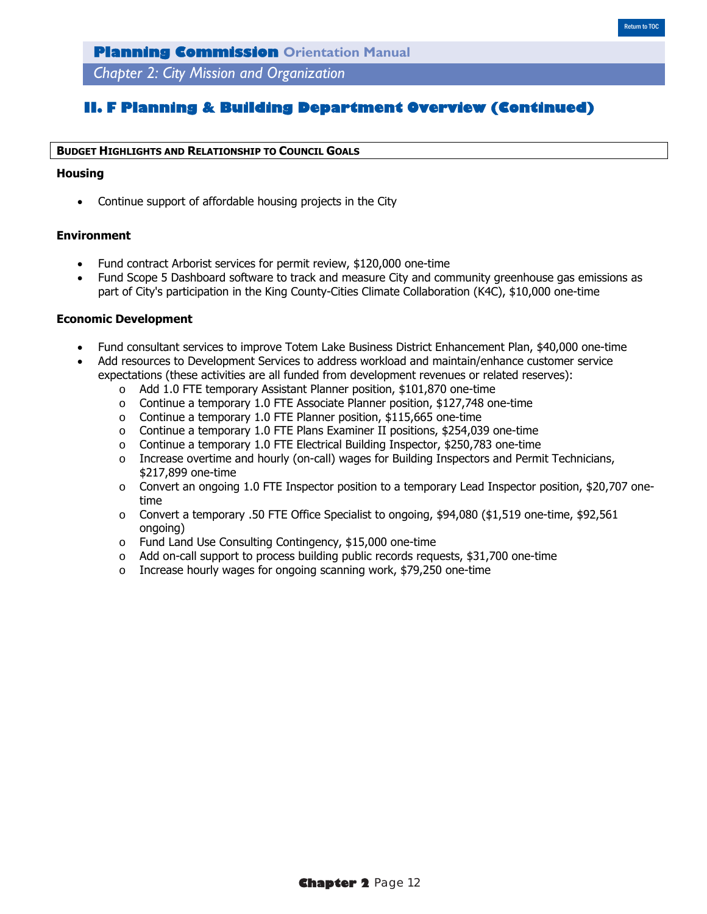*Chapter 2: City Mission and Organization*

### **II. F Planning & Building Department Overview (Continued)**

#### **BUDGET HIGHLIGHTS AND RELATIONSHIP TO COUNCIL GOALS**

#### **Housing**

Continue support of affordable housing projects in the City

### **Environment**

- Fund contract Arborist services for permit review, \$120,000 one-time
- Fund Scope 5 Dashboard software to track and measure City and community greenhouse gas emissions as part of City's participation in the King County-Cities Climate Collaboration (K4C), \$10,000 one-time

#### **Economic Development**

- Fund consultant services to improve Totem Lake Business District Enhancement Plan, \$40,000 one-time
- Add resources to Development Services to address workload and maintain/enhance customer service expectations (these activities are all funded from development revenues or related reserves):
	- o Add 1.0 FTE temporary Assistant Planner position, \$101,870 one-time
	- $\circ$  Continue a temporary 1.0 FTE Associate Planner position, \$127,748 one-time
	- o Continue a temporary 1.0 FTE Planner position, \$115,665 one-time
	- o Continue a temporary 1.0 FTE Plans Examiner II positions, \$254,039 one-time
	- o Continue a temporary 1.0 FTE Electrical Building Inspector, \$250,783 one-time
	- o Increase overtime and hourly (on-call) wages for Building Inspectors and Permit Technicians, \$217,899 one-time
	- $\circ$  Convert an ongoing 1.0 FTE Inspector position to a temporary Lead Inspector position, \$20,707 onetime
	- o Convert a temporary .50 FTE Office Specialist to ongoing, \$94,080 (\$1,519 one-time, \$92,561 ongoing)
	- o Fund Land Use Consulting Contingency, \$15,000 one-time
	- $\circ$  Add on-call support to process building public records requests, \$31,700 one-time
	- o Increase hourly wages for ongoing scanning work, \$79,250 one-time